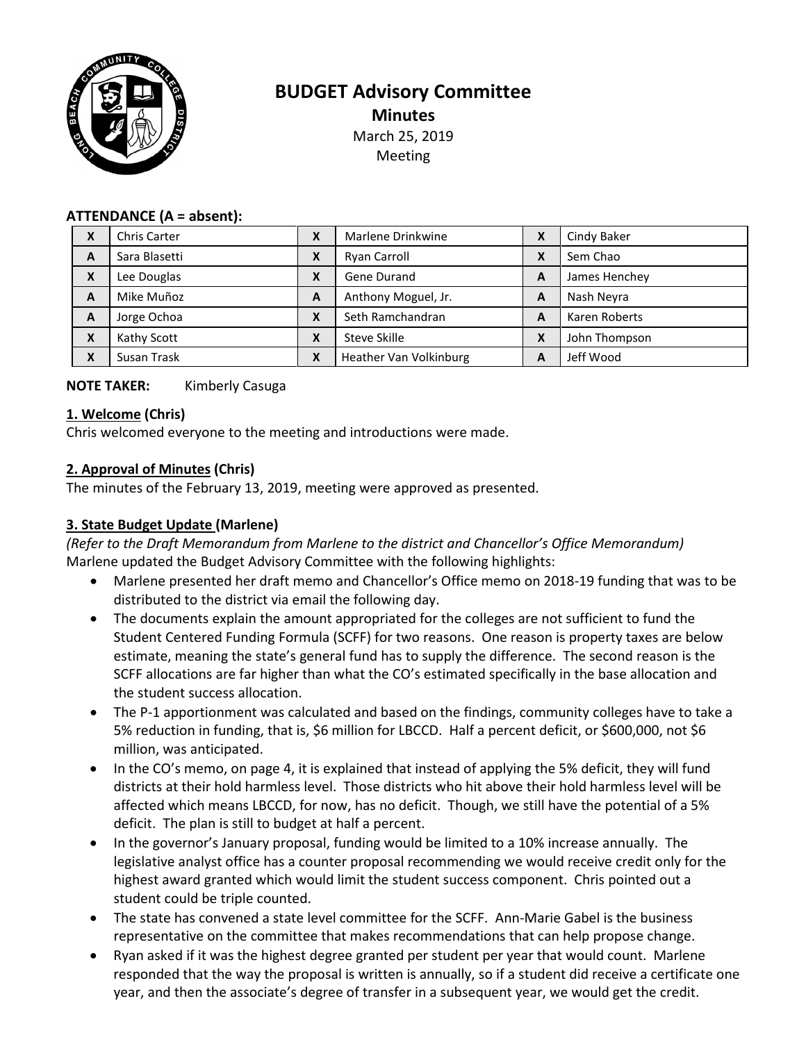

# **BUDGET Advisory Committee Minutes** March 25, 2019 Meeting

#### **ATTENDANCE (A = absent):**

| X                         | <b>Chris Carter</b> | χ                | Marlene Drinkwine      | X | Cindy Baker   |
|---------------------------|---------------------|------------------|------------------------|---|---------------|
| A                         | Sara Blasetti       | Χ                | Ryan Carroll           | X | Sem Chao      |
| $\boldsymbol{\mathsf{x}}$ | Lee Douglas         | χ                | Gene Durand            | A | James Henchey |
| A                         | Mike Muñoz          | A                | Anthony Moguel, Jr.    | A | Nash Neyra    |
| A                         | Jorge Ochoa         | $\mathbf v$<br>л | Seth Ramchandran       | A | Karen Roberts |
| X                         | Kathy Scott         | Χ                | Steve Skille           | X | John Thompson |
| $\boldsymbol{\mathsf{x}}$ | Susan Trask         | Χ                | Heather Van Volkinburg | A | Jeff Wood     |

### **NOTE TAKER:** Kimberly Casuga

#### **1. Welcome (Chris)**

Chris welcomed everyone to the meeting and introductions were made.

### **2. Approval of Minutes (Chris)**

The minutes of the February 13, 2019, meeting were approved as presented.

# **3. State Budget Update (Marlene)**

*(Refer to the Draft Memorandum from Marlene to the district and Chancellor's Office Memorandum)* Marlene updated the Budget Advisory Committee with the following highlights:

- Marlene presented her draft memo and Chancellor's Office memo on 2018-19 funding that was to be distributed to the district via email the following day.
- The documents explain the amount appropriated for the colleges are not sufficient to fund the Student Centered Funding Formula (SCFF) for two reasons. One reason is property taxes are below estimate, meaning the state's general fund has to supply the difference. The second reason is the SCFF allocations are far higher than what the CO's estimated specifically in the base allocation and the student success allocation.
- The P-1 apportionment was calculated and based on the findings, community colleges have to take a 5% reduction in funding, that is, \$6 million for LBCCD. Half a percent deficit, or \$600,000, not \$6 million, was anticipated.
- In the CO's memo, on page 4, it is explained that instead of applying the 5% deficit, they will fund districts at their hold harmless level. Those districts who hit above their hold harmless level will be affected which means LBCCD, for now, has no deficit. Though, we still have the potential of a 5% deficit. The plan is still to budget at half a percent.
- In the governor's January proposal, funding would be limited to a 10% increase annually. The legislative analyst office has a counter proposal recommending we would receive credit only for the highest award granted which would limit the student success component. Chris pointed out a student could be triple counted.
- The state has convened a state level committee for the SCFF. Ann-Marie Gabel is the business representative on the committee that makes recommendations that can help propose change.
- Ryan asked if it was the highest degree granted per student per year that would count. Marlene responded that the way the proposal is written is annually, so if a student did receive a certificate one year, and then the associate's degree of transfer in a subsequent year, we would get the credit.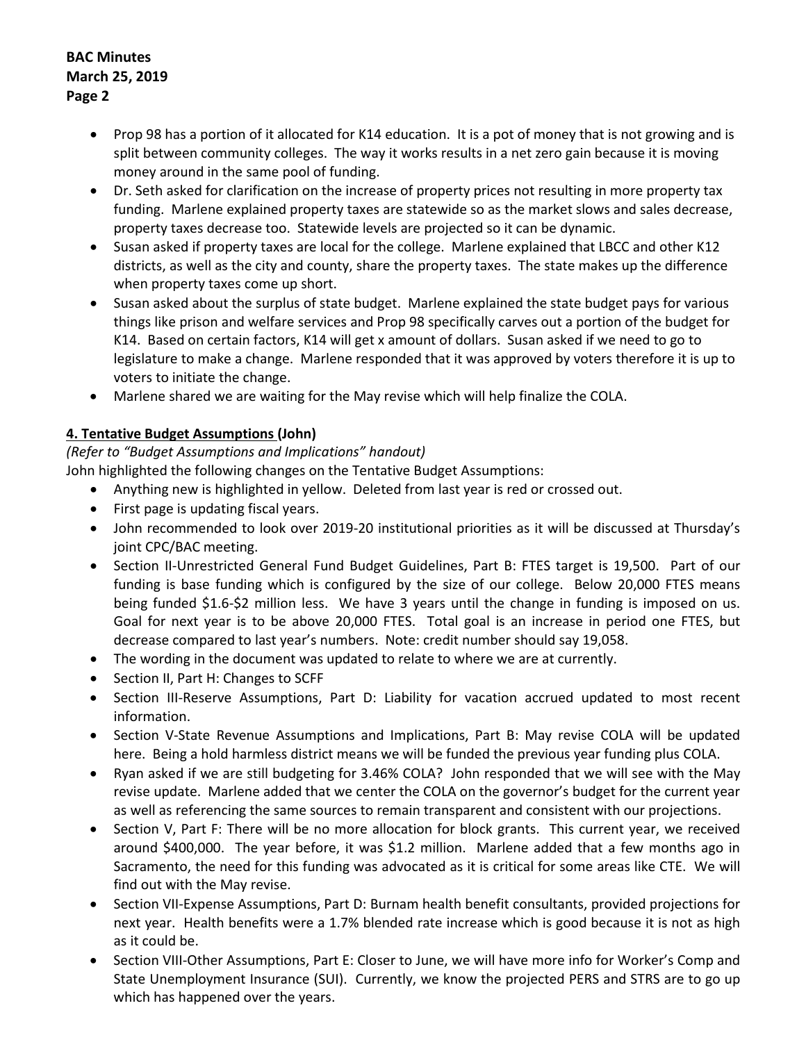- Prop 98 has a portion of it allocated for K14 education. It is a pot of money that is not growing and is split between community colleges. The way it works results in a net zero gain because it is moving money around in the same pool of funding.
- Dr. Seth asked for clarification on the increase of property prices not resulting in more property tax funding. Marlene explained property taxes are statewide so as the market slows and sales decrease, property taxes decrease too. Statewide levels are projected so it can be dynamic.
- Susan asked if property taxes are local for the college. Marlene explained that LBCC and other K12 districts, as well as the city and county, share the property taxes. The state makes up the difference when property taxes come up short.
- Susan asked about the surplus of state budget. Marlene explained the state budget pays for various things like prison and welfare services and Prop 98 specifically carves out a portion of the budget for K14. Based on certain factors, K14 will get x amount of dollars. Susan asked if we need to go to legislature to make a change. Marlene responded that it was approved by voters therefore it is up to voters to initiate the change.
- Marlene shared we are waiting for the May revise which will help finalize the COLA.

# **4. Tentative Budget Assumptions (John)**

# *(Refer to "Budget Assumptions and Implications" handout)*

John highlighted the following changes on the Tentative Budget Assumptions:

- Anything new is highlighted in yellow. Deleted from last year is red or crossed out.
- First page is updating fiscal years.
- John recommended to look over 2019-20 institutional priorities as it will be discussed at Thursday's joint CPC/BAC meeting.
- Section II-Unrestricted General Fund Budget Guidelines, Part B: FTES target is 19,500. Part of our funding is base funding which is configured by the size of our college. Below 20,000 FTES means being funded \$1.6-\$2 million less. We have 3 years until the change in funding is imposed on us. Goal for next year is to be above 20,000 FTES. Total goal is an increase in period one FTES, but decrease compared to last year's numbers. Note: credit number should say 19,058.
- The wording in the document was updated to relate to where we are at currently.
- Section II, Part H: Changes to SCFF
- Section III-Reserve Assumptions, Part D: Liability for vacation accrued updated to most recent information.
- Section V-State Revenue Assumptions and Implications, Part B: May revise COLA will be updated here. Being a hold harmless district means we will be funded the previous year funding plus COLA.
- Ryan asked if we are still budgeting for 3.46% COLA? John responded that we will see with the May revise update. Marlene added that we center the COLA on the governor's budget for the current year as well as referencing the same sources to remain transparent and consistent with our projections.
- Section V, Part F: There will be no more allocation for block grants. This current year, we received around \$400,000. The year before, it was \$1.2 million. Marlene added that a few months ago in Sacramento, the need for this funding was advocated as it is critical for some areas like CTE. We will find out with the May revise.
- Section VII-Expense Assumptions, Part D: Burnam health benefit consultants, provided projections for next year. Health benefits were a 1.7% blended rate increase which is good because it is not as high as it could be.
- Section VIII-Other Assumptions, Part E: Closer to June, we will have more info for Worker's Comp and State Unemployment Insurance (SUI). Currently, we know the projected PERS and STRS are to go up which has happened over the years.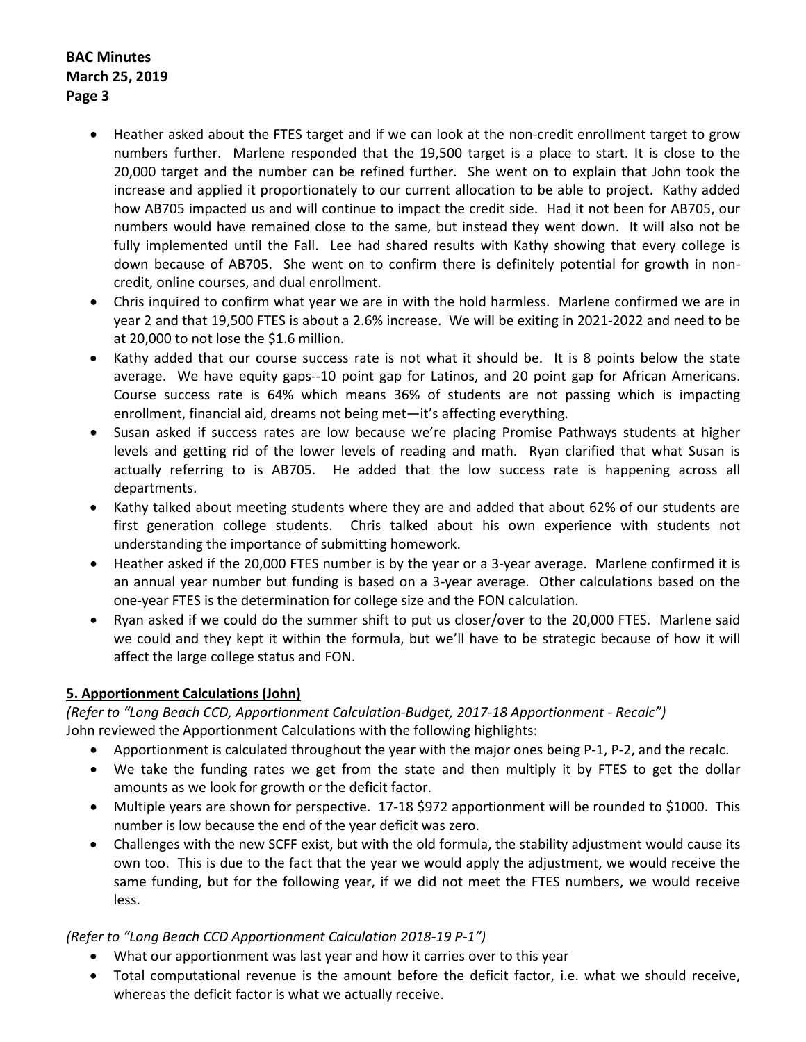- Heather asked about the FTES target and if we can look at the non-credit enrollment target to grow numbers further. Marlene responded that the 19,500 target is a place to start. It is close to the 20,000 target and the number can be refined further. She went on to explain that John took the increase and applied it proportionately to our current allocation to be able to project. Kathy added how AB705 impacted us and will continue to impact the credit side. Had it not been for AB705, our numbers would have remained close to the same, but instead they went down. It will also not be fully implemented until the Fall. Lee had shared results with Kathy showing that every college is down because of AB705. She went on to confirm there is definitely potential for growth in noncredit, online courses, and dual enrollment.
- Chris inquired to confirm what year we are in with the hold harmless. Marlene confirmed we are in year 2 and that 19,500 FTES is about a 2.6% increase. We will be exiting in 2021-2022 and need to be at 20,000 to not lose the \$1.6 million.
- Kathy added that our course success rate is not what it should be. It is 8 points below the state average. We have equity gaps--10 point gap for Latinos, and 20 point gap for African Americans. Course success rate is 64% which means 36% of students are not passing which is impacting enrollment, financial aid, dreams not being met—it's affecting everything.
- Susan asked if success rates are low because we're placing Promise Pathways students at higher levels and getting rid of the lower levels of reading and math. Ryan clarified that what Susan is actually referring to is AB705. He added that the low success rate is happening across all departments.
- Kathy talked about meeting students where they are and added that about 62% of our students are first generation college students. Chris talked about his own experience with students not understanding the importance of submitting homework.
- Heather asked if the 20,000 FTES number is by the year or a 3-year average. Marlene confirmed it is an annual year number but funding is based on a 3-year average. Other calculations based on the one-year FTES is the determination for college size and the FON calculation.
- Ryan asked if we could do the summer shift to put us closer/over to the 20,000 FTES. Marlene said we could and they kept it within the formula, but we'll have to be strategic because of how it will affect the large college status and FON.

# **5. Apportionment Calculations (John)**

*(Refer to "Long Beach CCD, Apportionment Calculation-Budget, 2017-18 Apportionment - Recalc")* John reviewed the Apportionment Calculations with the following highlights:

- Apportionment is calculated throughout the year with the major ones being P-1, P-2, and the recalc.
- We take the funding rates we get from the state and then multiply it by FTES to get the dollar amounts as we look for growth or the deficit factor.
- Multiple years are shown for perspective. 17-18 \$972 apportionment will be rounded to \$1000. This number is low because the end of the year deficit was zero.
- Challenges with the new SCFF exist, but with the old formula, the stability adjustment would cause its own too. This is due to the fact that the year we would apply the adjustment, we would receive the same funding, but for the following year, if we did not meet the FTES numbers, we would receive less.

# *(Refer to "Long Beach CCD Apportionment Calculation 2018-19 P-1")*

- What our apportionment was last year and how it carries over to this year
- Total computational revenue is the amount before the deficit factor, i.e. what we should receive, whereas the deficit factor is what we actually receive.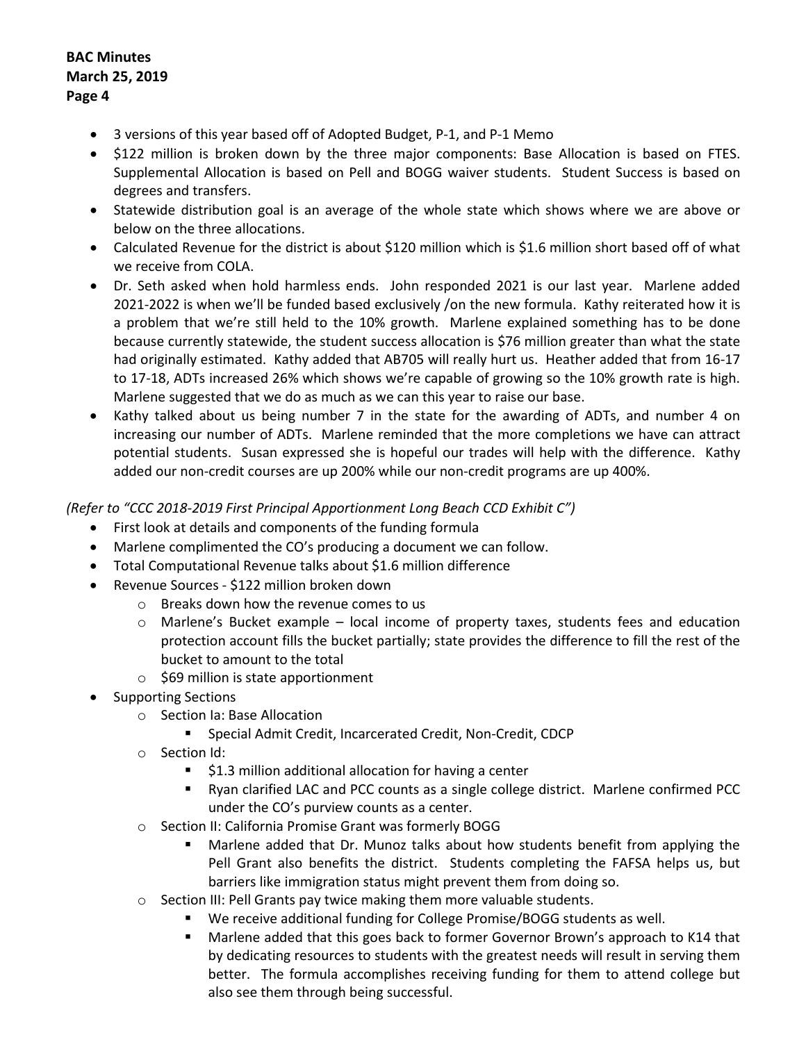- 3 versions of this year based off of Adopted Budget, P-1, and P-1 Memo
- \$122 million is broken down by the three major components: Base Allocation is based on FTES. Supplemental Allocation is based on Pell and BOGG waiver students. Student Success is based on degrees and transfers.
- Statewide distribution goal is an average of the whole state which shows where we are above or below on the three allocations.
- Calculated Revenue for the district is about \$120 million which is \$1.6 million short based off of what we receive from COLA.
- Dr. Seth asked when hold harmless ends. John responded 2021 is our last year. Marlene added 2021-2022 is when we'll be funded based exclusively /on the new formula. Kathy reiterated how it is a problem that we're still held to the 10% growth. Marlene explained something has to be done because currently statewide, the student success allocation is \$76 million greater than what the state had originally estimated. Kathy added that AB705 will really hurt us. Heather added that from 16-17 to 17-18, ADTs increased 26% which shows we're capable of growing so the 10% growth rate is high. Marlene suggested that we do as much as we can this year to raise our base.
- Kathy talked about us being number 7 in the state for the awarding of ADTs, and number 4 on increasing our number of ADTs. Marlene reminded that the more completions we have can attract potential students. Susan expressed she is hopeful our trades will help with the difference. Kathy added our non-credit courses are up 200% while our non-credit programs are up 400%.

### *(Refer to "CCC 2018-2019 First Principal Apportionment Long Beach CCD Exhibit C")*

- First look at details and components of the funding formula
- Marlene complimented the CO's producing a document we can follow.
- Total Computational Revenue talks about \$1.6 million difference
- Revenue Sources \$122 million broken down
	- o Breaks down how the revenue comes to us
	- $\circ$  Marlene's Bucket example local income of property taxes, students fees and education protection account fills the bucket partially; state provides the difference to fill the rest of the bucket to amount to the total
	- $\circ$  \$69 million is state apportionment
- Supporting Sections
	- o Section Ia: Base Allocation
		- Special Admit Credit, Incarcerated Credit, Non-Credit, CDCP
	- o Section Id:
		- $\blacksquare$  \$1.3 million additional allocation for having a center
		- Ryan clarified LAC and PCC counts as a single college district. Marlene confirmed PCC under the CO's purview counts as a center.
	- o Section II: California Promise Grant was formerly BOGG
		- Marlene added that Dr. Munoz talks about how students benefit from applying the Pell Grant also benefits the district. Students completing the FAFSA helps us, but barriers like immigration status might prevent them from doing so.
	- o Section III: Pell Grants pay twice making them more valuable students.
		- We receive additional funding for College Promise/BOGG students as well.
		- Marlene added that this goes back to former Governor Brown's approach to K14 that by dedicating resources to students with the greatest needs will result in serving them better. The formula accomplishes receiving funding for them to attend college but also see them through being successful.